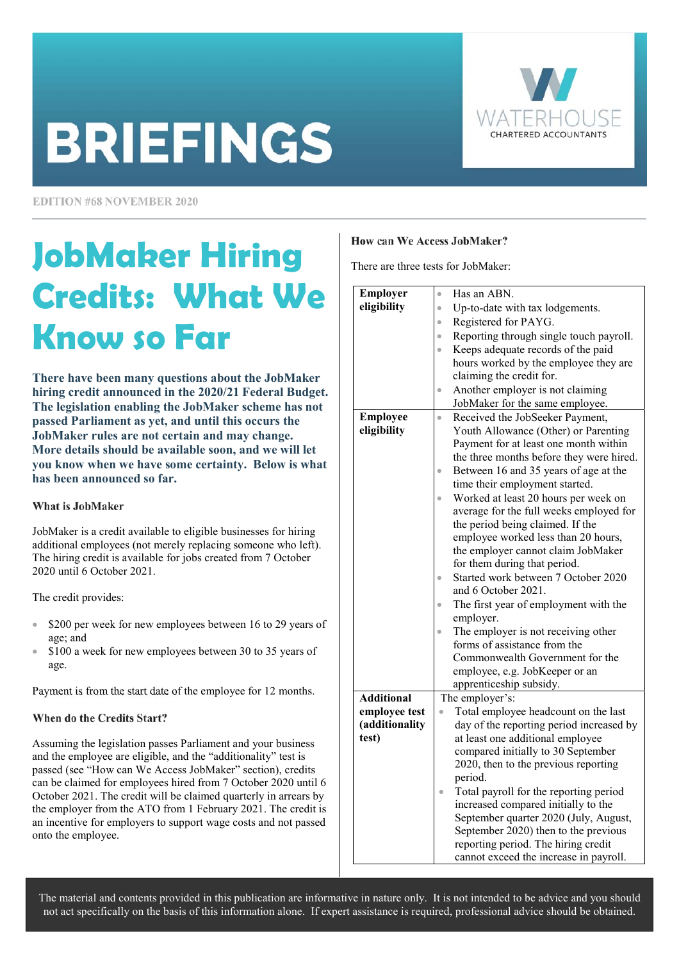# **BRIEFINGS**



**EDITION #68 NOVEMBER 2020** 

# **JobMaker Hiring Credits: What We Know so Far**

**There have been many questions about the JobMaker hiring credit announced in the 2020/21 Federal Budget. The legislation enabling the JobMaker scheme has not passed Parliament as yet, and until this occurs the JobMaker rules are not certain and may change. More details should be available soon, and we will let you know when we have some certainty. Below is what has been announced so far.** 

### **What is JobMaker**

JobMaker is a credit available to eligible businesses for hiring additional employees (not merely replacing someone who left). The hiring credit is available for jobs created from 7 October 2020 until 6 October 2021.

The credit provides:

- \$200 per week for new employees between 16 to 29 years of age; and
- \$100 a week for new employees between 30 to 35 years of age.

Payment is from the start date of the employee for 12 months.

### When do the Credits Start?

Assuming the legislation passes Parliament and your business and the employee are eligible, and the "additionality" test is passed (see "How can We Access JobMaker" section), credits can be claimed for employees hired from 7 October 2020 until 6 October 2021. The credit will be claimed quarterly in arrears by the employer from the ATO from 1 February 2021. The credit is an incentive for employers to support wage costs and not passed onto the employee.

How can We Access JobMaker?

There are three tests for JobMaker:

| Employer          | $\bullet$ | Has an ABN.                                                                 |  |  |  |
|-------------------|-----------|-----------------------------------------------------------------------------|--|--|--|
| eligibility       | $\bullet$ | Up-to-date with tax lodgements.                                             |  |  |  |
|                   | $\bullet$ | Registered for PAYG.                                                        |  |  |  |
|                   | $\bullet$ | Reporting through single touch payroll.                                     |  |  |  |
|                   | $\bullet$ | Keeps adequate records of the paid                                          |  |  |  |
|                   |           | hours worked by the employee they are                                       |  |  |  |
|                   |           | claiming the credit for.                                                    |  |  |  |
|                   | $\bullet$ | Another employer is not claiming                                            |  |  |  |
|                   |           | JobMaker for the same employee.                                             |  |  |  |
| <b>Employee</b>   | $\bullet$ | Received the JobSeeker Payment,                                             |  |  |  |
| eligibility       |           | Youth Allowance (Other) or Parenting                                        |  |  |  |
|                   |           | Payment for at least one month within                                       |  |  |  |
|                   |           | the three months before they were hired.                                    |  |  |  |
|                   |           | Between 16 and 35 years of age at the                                       |  |  |  |
|                   |           | time their employment started.                                              |  |  |  |
|                   |           | Worked at least 20 hours per week on                                        |  |  |  |
|                   |           | average for the full weeks employed for<br>the period being claimed. If the |  |  |  |
|                   |           | employee worked less than 20 hours,                                         |  |  |  |
|                   |           | the employer cannot claim JobMaker                                          |  |  |  |
|                   |           | for them during that period.                                                |  |  |  |
|                   |           | Started work between 7 October 2020                                         |  |  |  |
|                   |           | and 6 October 2021.                                                         |  |  |  |
|                   |           | The first year of employment with the                                       |  |  |  |
|                   |           | employer.                                                                   |  |  |  |
|                   |           | The employer is not receiving other                                         |  |  |  |
|                   |           | forms of assistance from the                                                |  |  |  |
|                   |           | Commonwealth Government for the                                             |  |  |  |
|                   |           | employee, e.g. JobKeeper or an                                              |  |  |  |
| <b>Additional</b> |           | apprenticeship subsidy.<br>The employer's:                                  |  |  |  |
| employee test     |           | Total employee headcount on the last                                        |  |  |  |
| (additionality    |           | day of the reporting period increased by                                    |  |  |  |
| test)             |           | at least one additional employee                                            |  |  |  |
|                   |           | compared initially to 30 September                                          |  |  |  |
|                   |           | 2020, then to the previous reporting                                        |  |  |  |
|                   |           | period.                                                                     |  |  |  |
|                   | $\bullet$ | Total payroll for the reporting period                                      |  |  |  |
|                   |           | increased compared initially to the                                         |  |  |  |
|                   |           | September quarter 2020 (July, August,                                       |  |  |  |
|                   |           | September 2020) then to the previous                                        |  |  |  |
|                   |           | reporting period. The hiring credit                                         |  |  |  |
|                   |           | cannot exceed the increase in payroll.                                      |  |  |  |

The material and contents provided in this publication are informative in nature only. It is not intended to be advice and you should not act specifically on the basis of this information alone. If expert assistance is required, professional advice should be obtained.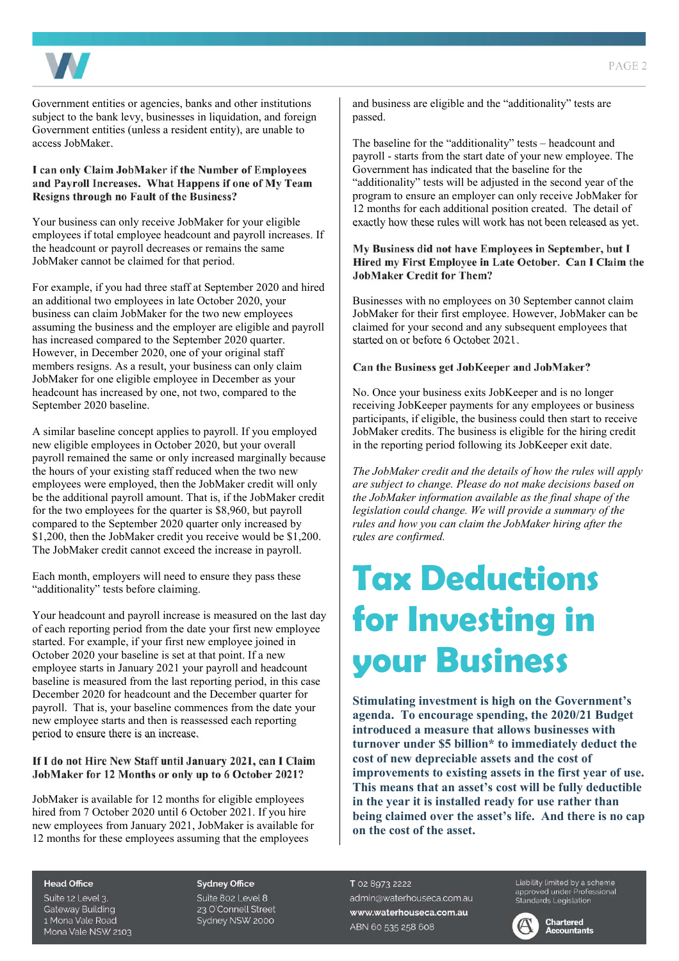



Government entities or agencies, banks and other institutions subject to the bank levy, businesses in liquidation, and foreign Government entities (unless a resident entity), are unable to access JobMaker.

### I can only Claim JobMaker if the Number of Employees and Payroll Increases. What Happens if one of My Team Resigns through no Fault of the Business?

Your business can only receive JobMaker for your eligible employees if total employee headcount and payroll increases. If the headcount or payroll decreases or remains the same JobMaker cannot be claimed for that period.

For example, if you had three staff at September 2020 and hired an additional two employees in late October 2020, your business can claim JobMaker for the two new employees assuming the business and the employer are eligible and payroll has increased compared to the September 2020 quarter. However, in December 2020, one of your original staff members resigns. As a result, your business can only claim JobMaker for one eligible employee in December as your headcount has increased by one, not two, compared to the September 2020 baseline.

A similar baseline concept applies to payroll. If you employed new eligible employees in October 2020, but your overall payroll remained the same or only increased marginally because the hours of your existing staff reduced when the two new employees were employed, then the JobMaker credit will only be the additional payroll amount. That is, if the JobMaker credit for the two employees for the quarter is \$8,960, but payroll compared to the September 2020 quarter only increased by \$1,200, then the JobMaker credit you receive would be \$1,200. The JobMaker credit cannot exceed the increase in payroll.

Each month, employers will need to ensure they pass these "additionality" tests before claiming.

Your headcount and payroll increase is measured on the last day of each reporting period from the date your first new employee started. For example, if your first new employee joined in October 2020 your baseline is set at that point. If a new employee starts in January 2021 your payroll and headcount baseline is measured from the last reporting period, in this case December 2020 for headcount and the December quarter for payroll. That is, your baseline commences from the date your new employee starts and then is reassessed each reporting period to ensure there is an increase.

### If I do not Hire New Staff until January 2021, can I Claim JobMaker for 12 Months or only up to 6 October 2021?

JobMaker is available for 12 months for eligible employees hired from 7 October 2020 until 6 October 2021. If you hire new employees from January 2021, JobMaker is available for 12 months for these employees assuming that the employees

and business are eligible and the "additionality" tests are passed.

The baseline for the "additionality" tests – headcount and payroll - starts from the start date of your new employee. The Government has indicated that the baseline for the "additionality" tests will be adjusted in the second year of the program to ensure an employer can only receive JobMaker for 12 months for each additional position created. The detail of exactly how these rules will work has not been released as yet.

### My Business did not have Employees in September, but I Hired my First Employee in Late October. Can I Claim the **JobMaker Credit for Them?**

Businesses with no employees on 30 September cannot claim JobMaker for their first employee. However, JobMaker can be claimed for your second and any subsequent employees that started on or before 6 October 2021.

### Can the Business get JobKeeper and JobMaker?

No. Once your business exits JobKeeper and is no longer receiving JobKeeper payments for any employees or business participants, if eligible, the business could then start to receive JobMaker credits. The business is eligible for the hiring credit in the reporting period following its JobKeeper exit date.

*The JobMaker credit and the details of how the rules will apply are subject to change. Please do not make decisions based on the JobMaker information available as the final shape of the legislation could change. We will provide a summary of the rules and how you can claim the JobMaker hiring after the rules are confirmed.* 

# **Tax Deductions for Investing in your Business**

**Stimulating investment is high on the Government's agenda. To encourage spending, the 2020/21 Budget introduced a measure that allows businesses with turnover under \$5 billion\* to immediately deduct the cost of new depreciable assets and the cost of improvements to existing assets in the first year of use. This means that an asset's cost will be fully deductible in the year it is installed ready for use rather than being claimed over the asset's life. And there is no cap on the cost of the asset.** 

#### **Head Office**

Suite 12 Level 3. **Gateway Building** 1 Mona Vale Road Mona Vale NSW 2103

#### **Sydney Office**

Suite 802 Level 8 23 O'Connell Street Sydney NSW 2000

T 02 8973 2222 admin@waterhouseca.com.au www.waterhouseca.com.au ABN 60 535 258 608

Liability limited by a scheme approved under Professional<br>Standards Legislation

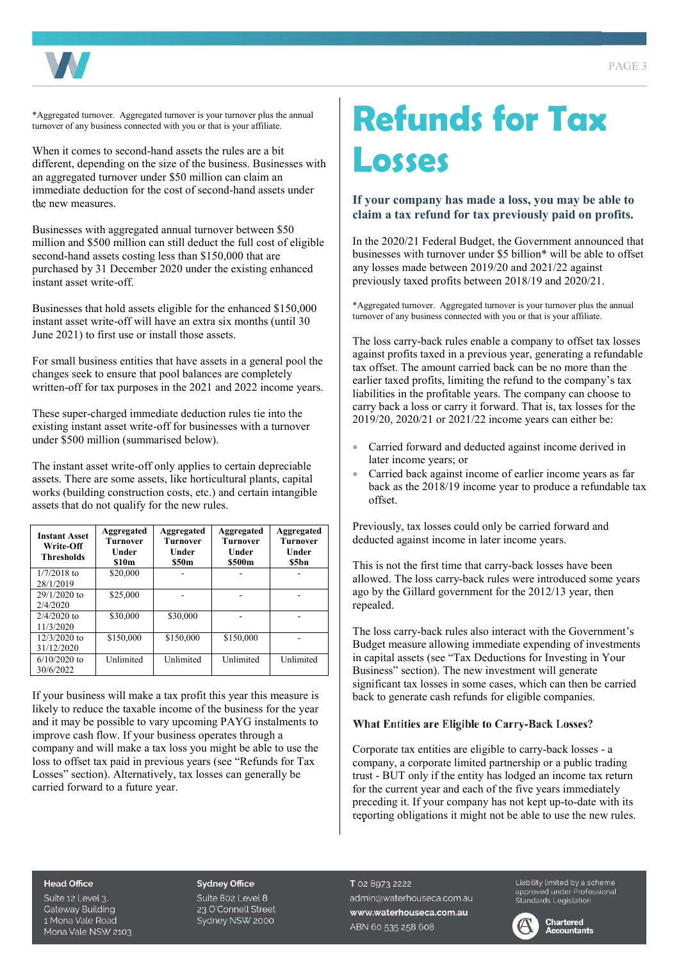



\*Aggregated turnover. Aggregated turnover is your turnover plus the annual turnover of any business connected with you or that is your affiliate.

When it comes to second-hand assets the rules are a bit different, depending on the size of the business. Businesses with an aggregated turnover under \$50 million can claim an immediate deduction for the cost of second-hand assets under the new measures.

Businesses with aggregated annual turnover between \$50 million and \$500 million can still deduct the full cost of eligible second-hand assets costing less than \$150,000 that are purchased by 31 December 2020 under the existing enhanced instant asset write-off.

Businesses that hold assets eligible for the enhanced \$150,000 instant asset write-off will have an extra six months (until 30 June 2021) to first use or install those assets.

For small business entities that have assets in a general pool the changes seek to ensure that pool balances are completely written-off for tax purposes in the 2021 and 2022 income years.

These super-charged immediate deduction rules tie into the existing instant asset write-off for businesses with a turnover under \$500 million (summarised below).

The instant asset write-off only applies to certain depreciable assets. There are some assets, like horticultural plants, capital works (building construction costs, etc.) and certain intangible assets that do not qualify for the new rules.

| <b>Instant Asset</b><br>Write-Off<br><b>Thresholds</b> | Aggregated<br><b>Turnover</b><br>Under<br>\$10m | Aggregated<br><b>Turnover</b><br>Under<br>\$50m | Aggregated<br><b>Turnover</b><br>Under<br>\$500m | Aggregated<br><b>Turnover</b><br>Under<br>\$5bn |
|--------------------------------------------------------|-------------------------------------------------|-------------------------------------------------|--------------------------------------------------|-------------------------------------------------|
| $1/7/2018$ to<br>28/1/2019                             | \$20,000                                        |                                                 |                                                  |                                                 |
| 29/1/2020 to<br>2/4/2020                               | \$25,000                                        |                                                 |                                                  |                                                 |
| $2/4/2020$ to<br>11/3/2020                             | \$30,000                                        | \$30,000                                        |                                                  |                                                 |
| $12/3/2020$ to<br>31/12/2020                           | \$150,000                                       | \$150,000                                       | \$150,000                                        |                                                 |
| $6/10/2020$ to<br>30/6/2022                            | Unlimited                                       | Unlimited                                       | Unlimited                                        | Unlimited                                       |

If your business will make a tax profit this year this measure is likely to reduce the taxable income of the business for the year and it may be possible to vary upcoming PAYG instalments to improve cash flow. If your business operates through a company and will make a tax loss you might be able to use the loss to offset tax paid in previous years (see "Refunds for Tax Losses" section). Alternatively, tax losses can generally be carried forward to a future year.

# **Refunds for Tax Losses**

## **If your company has made a loss, you may be able to claim a tax refund for tax previously paid on profits.**

In the 2020/21 Federal Budget, the Government announced that businesses with turnover under \$5 billion\* will be able to offset any losses made between 2019/20 and 2021/22 against previously taxed profits between 2018/19 and 2020/21.

\*Aggregated turnover. Aggregated turnover is your turnover plus the annual turnover of any business connected with you or that is your affiliate.

The loss carry-back rules enable a company to offset tax losses against profits taxed in a previous year, generating a refundable tax offset. The amount carried back can be no more than the earlier taxed profits, limiting the refund to the company's tax liabilities in the profitable years. The company can choose to carry back a loss or carry it forward. That is, tax losses for the 2019/20, 2020/21 or 2021/22 income years can either be:

- Carried forward and deducted against income derived in later income years; or
- Carried back against income of earlier income years as far back as the 2018/19 income year to produce a refundable tax offset.

Previously, tax losses could only be carried forward and deducted against income in later income years.

This is not the first time that carry-back losses have been allowed. The loss carry-back rules were introduced some years ago by the Gillard government for the 2012/13 year, then repealed.

The loss carry-back rules also interact with the Government's Budget measure allowing immediate expending of investments in capital assets (see "Tax Deductions for Investing in Your Business" section). The new investment will generate significant tax losses in some cases, which can then be carried back to generate cash refunds for eligible companies.

### What Entities are Eligible to Carry-Back Losses?

Corporate tax entities are eligible to carry-back losses - a company, a corporate limited partnership or a public trading trust - BUT only if the entity has lodged an income tax return for the current year and each of the five years immediately preceding it. If your company has not kept up-to-date with its reporting obligations it might not be able to use the new rules.

#### **Head Office**

Suite 12 Level 3. **Gateway Building** 1 Mona Vale Road Mona Vale NSW 2103

#### **Sydney Office**

Suite 802 Level 8 23 O'Connell Street Sydney NSW 2000 T 02 8973 2222 admin@waterhouseca.com.au www.waterhouseca.com.au ABN 60 535 258 608

Liability limited by a scheme approved under Professional<br>Standards Legislation



#### **Chartered Accountants**